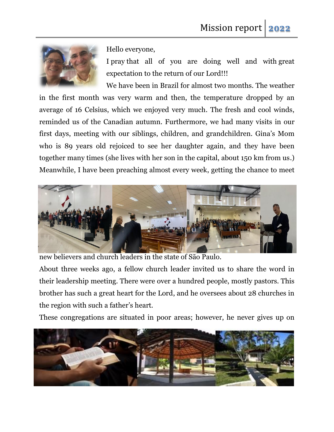

Hello everyone,

I pray that all of you are doing well and with great expectation to the return of our Lord!!!

We have been in Brazil for almost two months. The weather in the first month was very warm and then, the temperature dropped by an average of 16 Celsius, which we enjoyed very much. The fresh and cool winds, reminded us of the Canadian autumn. Furthermore, we had many visits in our first days, meeting with our siblings, children, and grandchildren. Gina's Mom who is 89 years old rejoiced to see her daughter again, and they have been together many times (she lives with her son in the capital, about 150 km from us.) Meanwhile, I have been preaching almost every week, getting the chance to meet



new believers and church leaders in the state of São Paulo.

About three weeks ago, a fellow church leader invited us to share the word in their leadership meeting. There were over a hundred people, mostly pastors. This brother has such a great heart for the Lord, and he oversees about 28 churches in the region with such a father's heart.

These congregations are situated in poor areas; however, he never gives up on

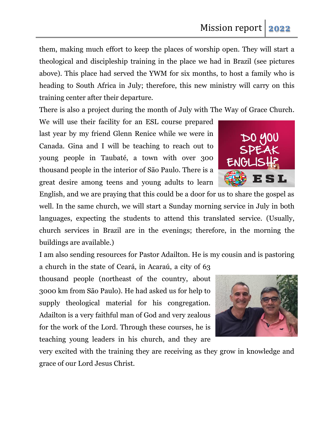them, making much effort to keep the places of worship open. They will start a theological and discipleship training in the place we had in Brazil (see pictures above). This place had served the YWM for six months, to host a family who is heading to South Africa in July; therefore, this new ministry will carry on this training center after their departure.

There is also a project during the month of July with The Way of Grace Church.

We will use their facility for an ESL course prepared last year by my friend Glenn Renice while we were in Canada. Gina and I will be teaching to reach out to young people in Taubaté, a town with over 300 thousand people in the interior of São Paulo. There is a great desire among teens and young adults to learn

English, and we are praying that this could be a door for us to share the gospel as well. In the same church, we will start a Sunday morning service in July in both languages, expecting the students to attend this translated service. (Usually, church services in Brazil are in the evenings; therefore, in the morning the buildings are available.)

I am also sending resources for Pastor Adailton. He is my cousin and is pastoring

a church in the state of Ceará, in Acaraú, a city of 63 thousand people (northeast of the country, about 3000 km from São Paulo). He had asked us for help to supply theological material for his congregation. Adailton is a very faithful man of God and very zealous for the work of the Lord. Through these courses, he is teaching young leaders in his church, and they are

very excited with the training they are receiving as they grow in knowledge and grace of our Lord Jesus Christ.



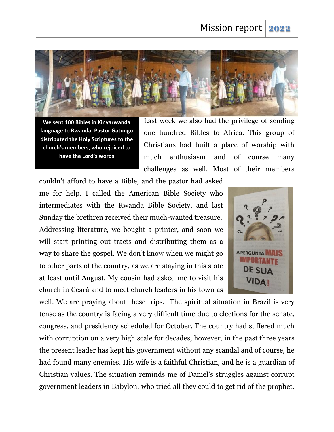

**We sent 100 Bibles in Kinyarwanda language to Rwanda. Pastor Gatungo distributed the Holy Scriptures to the church's members, who rejoiced to have the Lord's words**

Last week we also had the privilege of sending one hundred Bibles to Africa. This group of Christians had built a place of worship with much enthusiasm and of course many challenges as well. Most of their members

couldn't afford to have a Bible, and the pastor had asked me for help. I called the American Bible Society who intermediates with the Rwanda Bible Society, and last Sunday the brethren received their much-wanted treasure. Addressing literature, we bought a printer, and soon we will start printing out tracts and distributing them as a way to share the gospel. We don't know when we might go to other parts of the country, as we are staying in this state at least until August. My cousin had asked me to visit his church in Ceará and to meet church leaders in his town as



well. We are praying about these trips. The spiritual situation in Brazil is very tense as the country is facing a very difficult time due to elections for the senate, congress, and presidency scheduled for October. The country had suffered much with corruption on a very high scale for decades, however, in the past three years the present leader has kept his government without any scandal and of course, he had found many enemies. His wife is a faithful Christian, and he is a guardian of Christian values. The situation reminds me of Daniel's struggles against corrupt government leaders in Babylon, who tried all they could to get rid of the prophet.